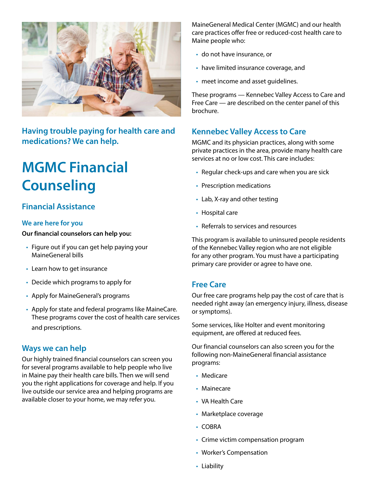

**Having trouble paying for health care and medications? We can help.**

# **MGMC Financial Counseling**

## **Financial Assistance**

#### **We are here for you**

**Our financial counselors can help you:**

- Figure out if you can get help paying your MaineGeneral bills
- Learn how to get insurance
- Decide which programs to apply for
- Apply for MaineGeneral's programs
- Apply for state and federal programs like MaineCare. These programs cover the cost of health care services and prescriptions.

## **Ways we can help**

Our highly trained financial counselors can screen you for several programs available to help people who live in Maine pay their health care bills. Then we will send you the right applications for coverage and help. If you live outside our service area and helping programs are available closer to your home, we may refer you.

MaineGeneral Medical Center (MGMC) and our health care practices offer free or reduced-cost health care to Maine people who:

- do not have insurance, or
- have limited insurance coverage, and
- meet income and asset guidelines.

These programs — Kennebec Valley Access to Care and Free Care — are described on the center panel of this brochure.

## **Kennebec Valley Access to Care**

MGMC and its physician practices, along with some private practices in the area, provide many health care services at no or low cost. This care includes:

- Regular check-ups and care when you are sick
- Prescription medications
- Lab, X-ray and other testing
- Hospital care
- Referrals to services and resources

This program is available to uninsured people residents of the Kennebec Valley region who are not eligible for any other program. You must have a participating primary care provider or agree to have one.

## **Free Care**

Our free care programs help pay the cost of care that is needed right away (an emergency injury, illness, disease or symptoms).

Some services, like Holter and event monitoring equipment, are offered at reduced fees.

Our financial counselors can also screen you for the following non-MaineGeneral financial assistance programs:

- Medicare
- Mainecare
- VA Health Care
- Marketplace coverage
- COBRA
- Crime victim compensation program
- Worker's Compensation
- Liability